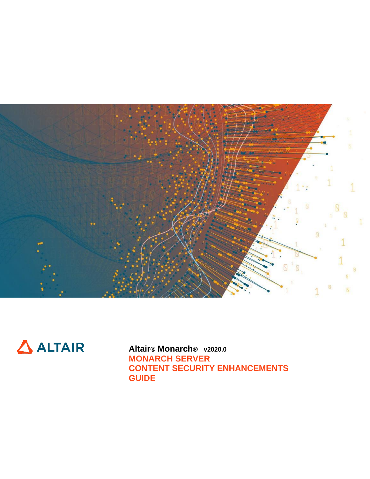



**Altair® Monarch® v2020.0 MONARCH SERVER CONTENT SECURITY ENHANCEMENTS GUIDE**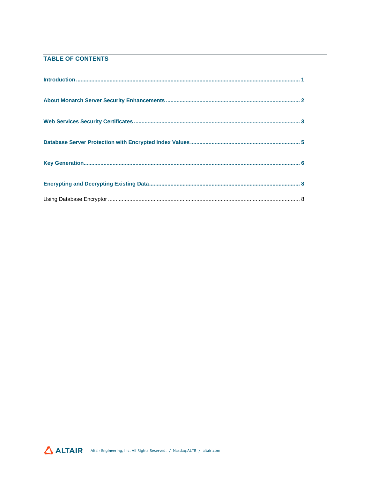## TABLE OF CONTENTS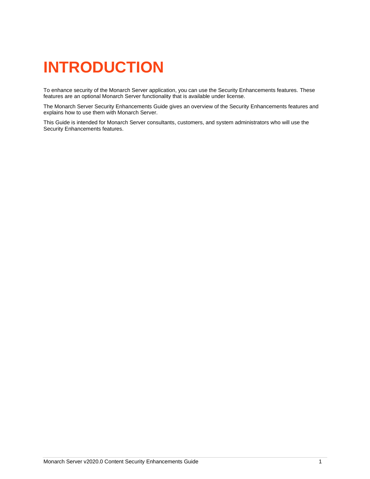# <span id="page-2-0"></span>**INTRODUCTION**

To enhance security of the Monarch Server application, you can use the Security Enhancements features. These features are an optional Monarch Server functionality that is available under license.

The Monarch Server Security Enhancements Guide gives an overview of the Security Enhancements features and explains how to use them with Monarch Server.

This Guide is intended for Monarch Server consultants, customers, and system administrators who will use the Security Enhancements features.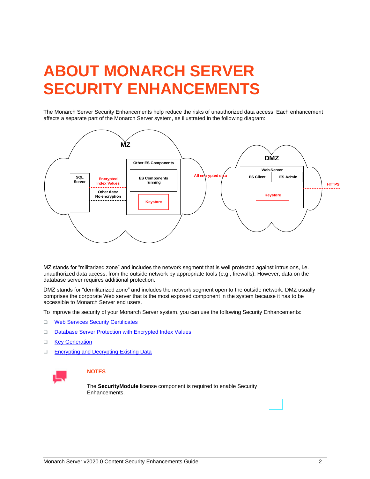# <span id="page-3-0"></span>**ABOUT MONARCH SERVER SECURITY ENHANCEMENTS**

The Monarch Server Security Enhancements help reduce the risks of unauthorized data access. Each enhancement affects a separate part of the Monarch Server system, as illustrated in the following diagram:



MZ stands for "militarized zone" and includes the network segment that is well protected against intrusions, i.e. unauthorized data access, from the outside network by appropriate tools (e.g., firewalls). However, data on the database server requires additional protection.

DMZ stands for "demilitarized zone" and includes the network segment open to the outside network. DMZ usually comprises the corporate Web server that is the most exposed component in the system because it has to be accessible to Monarch Server end users.

To improve the security of your Monarch Server system, you can use the following Security Enhancements:

- ❑ [Web Services Security Certificates](#page-4-0)
- ❑ [Database Server Protection with Encrypted Index Values](#page-6-0)
- ❑ [Key Generation](#page-7-0)
- ❑ [Encrypting and Decrypting Existing Data](#page-9-0)



### **NOTES**

The **SecurityModule** license component is required to enable Security Enhancements.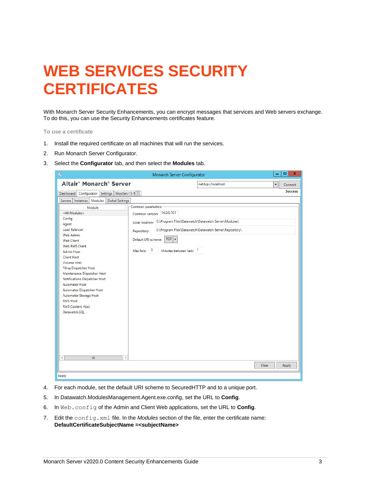# <span id="page-4-0"></span>**WEB SERVICES SECURITY CERTIFICATES**

With Monarch Server Security Enhancements, you can encrypt messages that services and Web servers exchange. To do this, you can use the Security Enhancements certificates feature.

**To use a certificate**

- 1. Install the required certificate on all machines that will run the services.
- 2. Run Monarch Server Configurator.
- 3. Select the **Configurator** tab, and then select the **Modules** tab.

| $\Box$<br>$\mathbf x$<br>$\Rightarrow$<br>Monarch Server Configurator<br>- |                                                                         |                |  |  |
|----------------------------------------------------------------------------|-------------------------------------------------------------------------|----------------|--|--|
| Altair <sup>®</sup> Monarch <sup>®</sup> Server                            | net.tcp://localhost                                                     | Connect<br>▼   |  |  |
| Configurator Settings   MonServ13-5 X<br>Dashboard                         |                                                                         | <b>Success</b> |  |  |
| Servers   Instances   Modules   Global Settings                            |                                                                         |                |  |  |
| Module                                                                     | Common parameters                                                       |                |  |  |
| <all modules=""></all>                                                     | Common version: 16.0.0.701                                              |                |  |  |
| Config                                                                     | C:\Program Files\Datawatch\Datawatch Server\Modules\<br>Local location: |                |  |  |
| Agent                                                                      |                                                                         |                |  |  |
| <b>Load Balancer</b>                                                       | C:\Program Files\Datawatch\Datawatch Server\Repository\<br>Repository:  |                |  |  |
| Web Admin<br><b>Web Client</b>                                             | $TCP \mid \bullet$<br>Default URI scheme:                               |                |  |  |
| Web RMS Client                                                             |                                                                         |                |  |  |
| <b>Admin Host</b>                                                          | -5<br>Minutes between fails: 1<br>Max fails:                            |                |  |  |
| <b>Client Host</b>                                                         |                                                                         |                |  |  |
| <b>Volume Host</b>                                                         |                                                                         |                |  |  |
| <b>Filing Dispatcher Host</b>                                              |                                                                         |                |  |  |
| Maintenance Dispatcher Host                                                |                                                                         |                |  |  |
| Notifications Dispatcher Host<br><b>Automator Host</b>                     |                                                                         |                |  |  |
| Automator Dispatcher Host                                                  |                                                                         |                |  |  |
| Automator Storage Host                                                     |                                                                         |                |  |  |
| <b>RMS Host</b>                                                            |                                                                         |                |  |  |
| <b>RMS Content Host</b>                                                    |                                                                         |                |  |  |
| Datawatch.SQL                                                              |                                                                         |                |  |  |
|                                                                            |                                                                         |                |  |  |
|                                                                            |                                                                         |                |  |  |
|                                                                            |                                                                         |                |  |  |
|                                                                            |                                                                         |                |  |  |
|                                                                            |                                                                         |                |  |  |
|                                                                            |                                                                         |                |  |  |
| $\langle$<br>$\rightarrow$<br>Ш                                            |                                                                         |                |  |  |
|                                                                            |                                                                         |                |  |  |
|                                                                            | Clear                                                                   | Apply          |  |  |
| Ready                                                                      |                                                                         |                |  |  |

- 4. For each module, set the default URI scheme to SecuredHTTP and to a unique port.
- 5. In Datawatch.ModulesManagement.Agent.exe.config, set the URL to **Config**.
- 6. In Web.config of the Admin and Client Web applications, set the URL to **Config**.
- 7. Edit the config.xml file. In the *Modules* section of the file, enter the certificate name: **DefaultCertificateSubjectName =<subjectName>**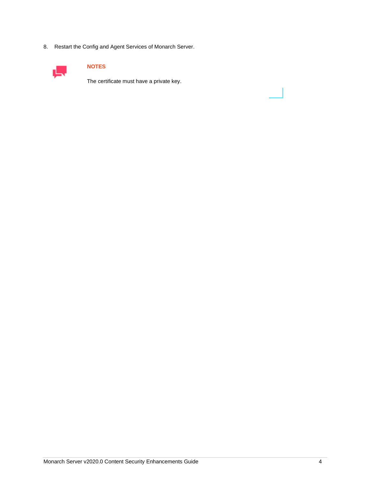8. Restart the Config and Agent Services of Monarch Server.



### **NOTES**

The certificate must have a private key.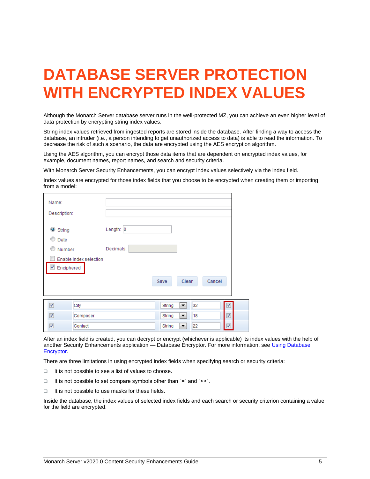# <span id="page-6-0"></span>**DATABASE SERVER PROTECTION WITH ENCRYPTED INDEX VALUES**

Although the Monarch Server database server runs in the well-protected MZ, you can achieve an even higher level of data protection by encrypting string index values.

String index values retrieved from ingested reports are stored inside the database. After finding a way to access the database, an intruder (i.e., a person intending to get unauthorized access to data) is able to read the information. To decrease the risk of such a scenario, the data are encrypted using the AES encryption algorithm.

Using the AES algorithm, you can encrypt those data items that are dependent on encrypted index values, for example, document names, report names, and search and security criteria.

With Monarch Server Security Enhancements, you can encrypt index values selectively via the index field.

Index values are encrypted for those index fields that you choose to be encrypted when creating them or importing from a model:

| Name:               |                        |           |        |         |        |
|---------------------|------------------------|-----------|--------|---------|--------|
| Description:        |                        |           |        |         |        |
| String<br>O<br>Date |                        | Length: 0 |        |         |        |
| Œ<br>Number         |                        | Decimals: |        |         |        |
|                     | Enable index selection |           |        |         |        |
| Enciphered          |                        |           |        |         |        |
|                     |                        |           | Save   | Clear   | Cancel |
|                     |                        |           |        |         |        |
| $\sqrt{2}$          | City                   |           | String | 32<br>▼ | ✓      |
| ⊽                   | Composer               |           | String | 18<br>▼ | √      |
| ✓                   | Contact                |           | String | 22<br>▼ | ✓      |

After an index field is created, you can decrypt or encrypt (whichever is applicable) its index values with the help of another Security Enhancements application - Database Encryptor. For more information, see Using Database [Encryptor.](#page-9-1)

There are three limitations in using encrypted index fields when specifying search or security criteria:

- ❑ It is not possible to see a list of values to choose.
- ❑ It is not possible to set compare symbols other than "=" and "<>".
- ❑ It is not possible to use masks for these fields.

Inside the database, the index values of selected index fields and each search or security criterion containing a value for the field are encrypted.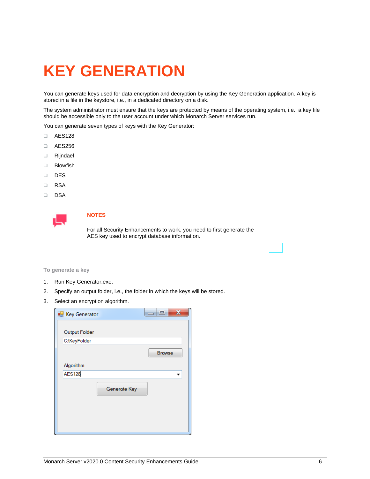# <span id="page-7-0"></span>**KEY GENERATION**

You can generate keys used for data encryption and decryption by using the Key Generation application. A key is stored in a file in the keystore, i.e., in a dedicated directory on a disk.

The system administrator must ensure that the keys are protected by means of the operating system, i.e., a key file should be accessible only to the user account under which Monarch Server services run.

You can generate seven types of keys with the Key Generator:

- ❑ AES128
- ❑ AES256
- ❑ Rijndael
- ❑ Blowfish
- ❑ DES
- ❑ RSA
- ❑ DSA



### **NOTES**

For all Security Enhancements to work, you need to first generate the AES key used to encrypt database information.

#### **To generate a key**

- 1. Run Key Generator.exe.
- 2. Specify an output folder, i.e., the folder in which the keys will be stored.
- 3. Select an encryption algorithm.

| <b>R</b> Key Generator | х<br>E<br>$\overline{\phantom{0}}$ |
|------------------------|------------------------------------|
| <b>Output Folder</b>   |                                    |
| C:\KeyFolder           |                                    |
|                        | <b>Browse</b>                      |
| Algorithm              |                                    |
| <b>AES128</b>          |                                    |
| Generate Key           |                                    |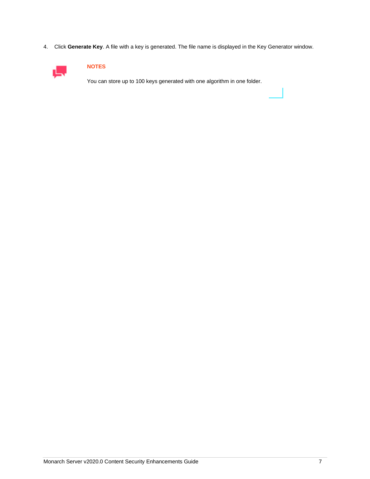4. Click **Generate Key**. A file with a key is generated. The file name is displayed in the Key Generator window.



### **NOTES**

You can store up to 100 keys generated with one algorithm in one folder.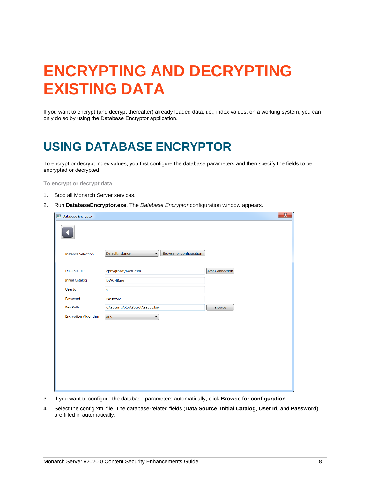# <span id="page-9-0"></span>**ENCRYPTING AND DECRYPTING EXISTING DATA**

If you want to encrypt (and decrypt thereafter) already loaded data, i.e., index values, on a working system, you can only do so by using the Database Encryptor application.

# <span id="page-9-1"></span>**USING DATABASE ENCRYPTOR**

To encrypt or decrypt index values, you first configure the database parameters and then specify the fields to be encrypted or decrypted.

**To encrypt or decrypt data**

- 1. Stop all Monarch Server services.
- 2. Run **DatabaseEncryptor.exe**. The *Database Encryptor* configuration window appears.

| Database Encryptor          |                                                                         |                        | $\mathbf{x}$ |
|-----------------------------|-------------------------------------------------------------------------|------------------------|--------------|
|                             |                                                                         |                        |              |
| <b>Instance Selection</b>   | Browse for configuration<br>DefaultInstance<br>$\overline{\phantom{a}}$ |                        |              |
| Data Source                 | epbygrosd\dwch_esm                                                      | <b>Test Connection</b> |              |
| <b>Initial Catalog</b>      | <b>DWCHBase</b>                                                         |                        |              |
| User Id                     | sa                                                                      |                        |              |
| Password                    | Password                                                                |                        |              |
| <b>Key Path</b>             | C:\Security\Key\SecretAES256.key                                        | <b>Browse</b>          |              |
| <b>Encryption Algorithm</b> | AES<br>$\blacktriangledown$                                             |                        |              |
|                             |                                                                         |                        |              |
|                             |                                                                         |                        |              |
|                             |                                                                         |                        |              |
|                             |                                                                         |                        |              |
|                             |                                                                         |                        |              |
|                             |                                                                         |                        |              |
|                             |                                                                         |                        |              |
|                             |                                                                         |                        |              |

- 3. If you want to configure the database parameters automatically, click **Browse for configuration**.
- 4. Select the config.xml file. The database-related fields (**Data Source**, **Initial Catalog**, **User Id**, and **Password**) are filled in automatically.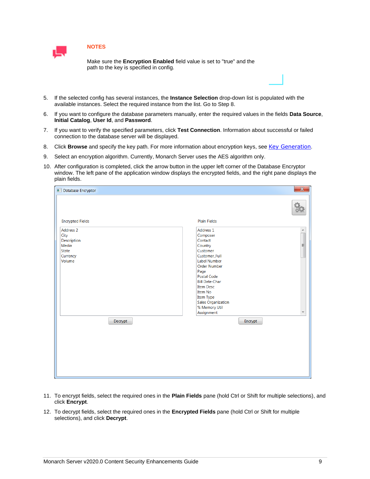

### **NOTES**

Make sure the **Encryption Enabled** field value is set to "true" and the path to the key is specified in config.

- 5. If the selected config has several instances, the **Instance Selection** drop-down list is populated with the available instances. Select the required instance from the list. Go to Step 8.
- 6. If you want to configure the database parameters manually, enter the required values in the fields **Data Source**, **Initial Catalog**, **User Id**, and **Password**.
- 7. If you want to verify the specified parameters, click **Test Connection**. Information about successful or failed connection to the database server will be displayed.
- 8. Click **Browse** and specify the key path. For more information about encryption keys, see [Key Generation](#page-7-0).
- 9. Select an encryption algorithm. Currently, Monarch Server uses the AES algorithm only.
- 10. After configuration is completed, click the arrow button in the upper left corner of the Database Encryptor window. The left pane of the application window displays the encrypted fields, and the right pane displays the plain fields.

| Database Encryptor                                                                         | $\mathbf{x}$                                                                                                                                                                                                                                                                                                                       |
|--------------------------------------------------------------------------------------------|------------------------------------------------------------------------------------------------------------------------------------------------------------------------------------------------------------------------------------------------------------------------------------------------------------------------------------|
|                                                                                            |                                                                                                                                                                                                                                                                                                                                    |
| <b>Encrypted Fields</b>                                                                    | <b>Plain Fields</b>                                                                                                                                                                                                                                                                                                                |
| <b>Address 2</b><br>City<br>Description<br>Media<br>State<br>Currency<br>Volume<br>Decrypt | $\hat{\mathcal{A}}$<br>Address 1<br>$\overline{a}$<br>Composer<br>Contact<br>Country<br>Customer<br>Customer_Full<br>Label Number<br><b>Order Number</b><br>Page<br><b>Postal Code</b><br><b>Bill Date-Char</b><br><b>Item Desc</b><br>Item No<br>Item Type<br><b>Sales Organization</b><br>% Memory Util<br>Assignment<br>Encrypt |

- 11. To encrypt fields, select the required ones in the **Plain Fields** pane (hold Ctrl or Shift for multiple selections), and click **Encrypt**.
- 12. To decrypt fields, select the required ones in the **Encrypted Fields** pane (hold Ctrl or Shift for multiple selections), and click **Decrypt**.